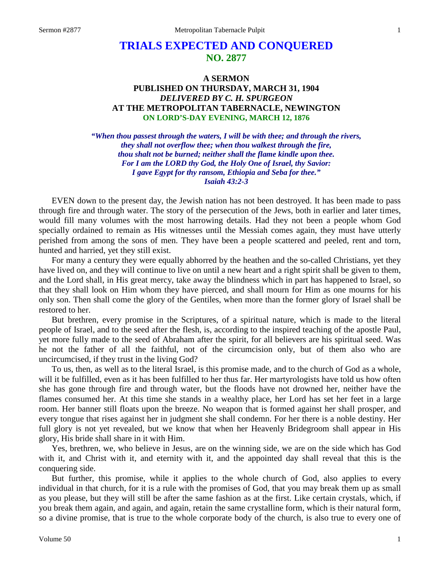# **TRIALS EXPECTED AND CONQUERED NO. 2877**

## **A SERMON PUBLISHED ON THURSDAY, MARCH 31, 1904** *DELIVERED BY C. H. SPURGEON* **AT THE METROPOLITAN TABERNACLE, NEWINGTON ON LORD'S-DAY EVENING, MARCH 12, 1876**

*"When thou passest through the waters, I will be with thee; and through the rivers, they shall not overflow thee; when thou walkest through the fire, thou shalt not be burned; neither shall the flame kindle upon thee. For I am the LORD thy God, the Holy One of Israel, thy Savior: I gave Egypt for thy ransom, Ethiopia and Seba for thee." Isaiah 43:2-3*

EVEN down to the present day, the Jewish nation has not been destroyed. It has been made to pass through fire and through water. The story of the persecution of the Jews, both in earlier and later times, would fill many volumes with the most harrowing details. Had they not been a people whom God specially ordained to remain as His witnesses until the Messiah comes again, they must have utterly perished from among the sons of men. They have been a people scattered and peeled, rent and torn, hunted and harried, yet they still exist.

For many a century they were equally abhorred by the heathen and the so-called Christians, yet they have lived on, and they will continue to live on until a new heart and a right spirit shall be given to them, and the Lord shall, in His great mercy, take away the blindness which in part has happened to Israel, so that they shall look on Him whom they have pierced, and shall mourn for Him as one mourns for his only son. Then shall come the glory of the Gentiles, when more than the former glory of Israel shall be restored to her.

But brethren, every promise in the Scriptures, of a spiritual nature, which is made to the literal people of Israel, and to the seed after the flesh, is, according to the inspired teaching of the apostle Paul, yet more fully made to the seed of Abraham after the spirit, for all believers are his spiritual seed. Was he not the father of all the faithful, not of the circumcision only, but of them also who are uncircumcised, if they trust in the living God?

To us, then, as well as to the literal Israel, is this promise made, and to the church of God as a whole, will it be fulfilled, even as it has been fulfilled to her thus far. Her martyrologists have told us how often she has gone through fire and through water, but the floods have not drowned her, neither have the flames consumed her. At this time she stands in a wealthy place, her Lord has set her feet in a large room. Her banner still floats upon the breeze. No weapon that is formed against her shall prosper, and every tongue that rises against her in judgment she shall condemn. For her there is a noble destiny. Her full glory is not yet revealed, but we know that when her Heavenly Bridegroom shall appear in His glory, His bride shall share in it with Him.

Yes, brethren, we, who believe in Jesus, are on the winning side, we are on the side which has God with it, and Christ with it, and eternity with it, and the appointed day shall reveal that this is the conquering side.

But further, this promise, while it applies to the whole church of God, also applies to every individual in that church, for it is a rule with the promises of God, that you may break them up as small as you please, but they will still be after the same fashion as at the first. Like certain crystals, which, if you break them again, and again, and again, retain the same crystalline form, which is their natural form, so a divine promise, that is true to the whole corporate body of the church, is also true to every one of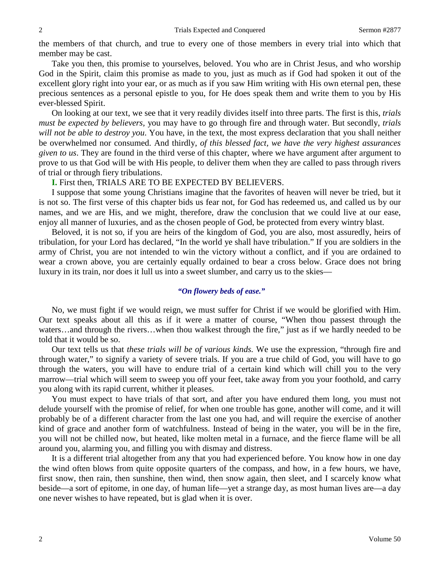the members of that church, and true to every one of those members in every trial into which that member may be cast.

Take you then, this promise to yourselves, beloved. You who are in Christ Jesus, and who worship God in the Spirit, claim this promise as made to you, just as much as if God had spoken it out of the excellent glory right into your ear, or as much as if you saw Him writing with His own eternal pen, these precious sentences as a personal epistle to you, for He does speak them and write them to you by His ever-blessed Spirit.

On looking at our text, we see that it very readily divides itself into three parts. The first is this, *trials must be expected by believers,* you may have to go through fire and through water. But secondly, *trials will not be able to destroy you*. You have, in the text, the most express declaration that you shall neither be overwhelmed nor consumed. And thirdly, *of this blessed fact, we have the very highest assurances given to us*. They are found in the third verse of this chapter, where we have argument after argument to prove to us that God will be with His people, to deliver them when they are called to pass through rivers of trial or through fiery tribulations.

### **I.** First then, TRIALS ARE TO BE EXPECTED BY BELIEVERS.

I suppose that some young Christians imagine that the favorites of heaven will never be tried, but it is not so. The first verse of this chapter bids us fear not, for God has redeemed us, and called us by our names, and we are His, and we might, therefore, draw the conclusion that we could live at our ease, enjoy all manner of luxuries, and as the chosen people of God, be protected from every wintry blast.

Beloved, it is not so, if you are heirs of the kingdom of God, you are also, most assuredly, heirs of tribulation, for your Lord has declared, "In the world ye shall have tribulation." If you are soldiers in the army of Christ, you are not intended to win the victory without a conflict, and if you are ordained to wear a crown above, you are certainly equally ordained to bear a cross below. Grace does not bring luxury in its train, nor does it lull us into a sweet slumber, and carry us to the skies—

### *"On flowery beds of ease."*

No, we must fight if we would reign, we must suffer for Christ if we would be glorified with Him. Our text speaks about all this as if it were a matter of course, "When thou passest through the waters…and through the rivers…when thou walkest through the fire," just as if we hardly needed to be told that it would be so.

Our text tells us that *these trials will be of various kinds.* We use the expression, "through fire and through water," to signify a variety of severe trials. If you are a true child of God, you will have to go through the waters, you will have to endure trial of a certain kind which will chill you to the very marrow—trial which will seem to sweep you off your feet, take away from you your foothold, and carry you along with its rapid current, whither it pleases.

You must expect to have trials of that sort, and after you have endured them long, you must not delude yourself with the promise of relief, for when one trouble has gone, another will come, and it will probably be of a different character from the last one you had, and will require the exercise of another kind of grace and another form of watchfulness. Instead of being in the water, you will be in the fire, you will not be chilled now, but heated, like molten metal in a furnace, and the fierce flame will be all around you, alarming you, and filling you with dismay and distress.

It is a different trial altogether from any that you had experienced before. You know how in one day the wind often blows from quite opposite quarters of the compass, and how, in a few hours, we have, first snow, then rain, then sunshine, then wind, then snow again, then sleet, and I scarcely know what beside—a sort of epitome, in one day, of human life—yet a strange day, as most human lives are—a day one never wishes to have repeated, but is glad when it is over.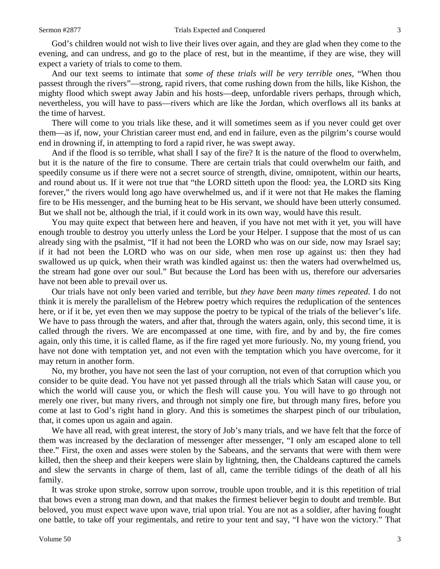God's children would not wish to live their lives over again, and they are glad when they come to the evening, and can undress, and go to the place of rest, but in the meantime, if they are wise, they will expect a variety of trials to come to them.

And our text seems to intimate that *some of these trials will be very terrible ones,* "When thou passest through the rivers"—strong, rapid rivers, that come rushing down from the hills, like Kishon, the mighty flood which swept away Jabin and his hosts—deep, unfordable rivers perhaps, through which, nevertheless, you will have to pass—rivers which are like the Jordan, which overflows all its banks at the time of harvest.

There will come to you trials like these, and it will sometimes seem as if you never could get over them—as if, now, your Christian career must end, and end in failure, even as the pilgrim's course would end in drowning if, in attempting to ford a rapid river, he was swept away.

And if the flood is so terrible, what shall I say of the fire? It is the nature of the flood to overwhelm, but it is the nature of the fire to consume. There are certain trials that could overwhelm our faith, and speedily consume us if there were not a secret source of strength, divine, omnipotent, within our hearts, and round about us. If it were not true that "the LORD sitteth upon the flood: yea, the LORD sits King forever," the rivers would long ago have overwhelmed us, and if it were not that He makes the flaming fire to be His messenger, and the burning heat to be His servant, we should have been utterly consumed. But we shall not be, although the trial, if it could work in its own way, would have this result.

You may quite expect that between here and heaven, if you have not met with it yet, you will have enough trouble to destroy you utterly unless the Lord be your Helper. I suppose that the most of us can already sing with the psalmist, "If it had not been the LORD who was on our side, now may Israel say; if it had not been the LORD who was on our side, when men rose up against us: then they had swallowed us up quick, when their wrath was kindled against us: then the waters had overwhelmed us, the stream had gone over our soul." But because the Lord has been with us, therefore our adversaries have not been able to prevail over us.

Our trials have not only been varied and terrible, but *they have been many times repeated*. I do not think it is merely the parallelism of the Hebrew poetry which requires the reduplication of the sentences here, or if it be, yet even then we may suppose the poetry to be typical of the trials of the believer's life. We have to pass through the waters, and after that, through the waters again, only, this second time, it is called through the rivers. We are encompassed at one time, with fire, and by and by, the fire comes again, only this time, it is called flame, as if the fire raged yet more furiously. No, my young friend, you have not done with temptation yet, and not even with the temptation which you have overcome, for it may return in another form.

No, my brother, you have not seen the last of your corruption, not even of that corruption which you consider to be quite dead. You have not yet passed through all the trials which Satan will cause you, or which the world will cause you, or which the flesh will cause you. You will have to go through not merely one river, but many rivers, and through not simply one fire, but through many fires, before you come at last to God's right hand in glory. And this is sometimes the sharpest pinch of our tribulation, that, it comes upon us again and again.

We have all read, with great interest, the story of Job's many trials, and we have felt that the force of them was increased by the declaration of messenger after messenger, "I only am escaped alone to tell thee." First, the oxen and asses were stolen by the Sabeans, and the servants that were with them were killed, then the sheep and their keepers were slain by lightning, then, the Chaldeans captured the camels and slew the servants in charge of them, last of all, came the terrible tidings of the death of all his family.

It was stroke upon stroke, sorrow upon sorrow, trouble upon trouble, and it is this repetition of trial that bows even a strong man down, and that makes the firmest believer begin to doubt and tremble. But beloved, you must expect wave upon wave, trial upon trial. You are not as a soldier, after having fought one battle, to take off your regimentals, and retire to your tent and say, "I have won the victory." That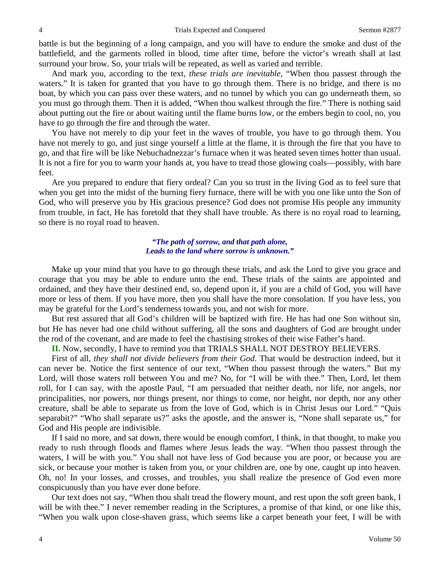battle is but the beginning of a long campaign, and you will have to endure the smoke and dust of the battlefield, and the garments rolled in blood, time after time, before the victor's wreath shall at last surround your brow. So, your trials will be repeated, as well as varied and terrible.

And mark you, according to the text, *these trials are inevitable,* "When thou passest through the waters." It is taken for granted that you have to go through them. There is no bridge, and there is no boat, by which you can pass over these waters, and no tunnel by which you can go underneath them, so you must go through them. Then it is added, "When thou walkest through the fire." There is nothing said about putting out the fire or about waiting until the flame burns low, or the embers begin to cool, no, you have to go through the fire and through the water.

You have not merely to dip your feet in the waves of trouble, you have to go through them. You have not merely to go, and just singe yourself a little at the flame, it is through the fire that you have to go, and that fire will be like Nebuchadnezzar's furnace when it was heated seven times hotter than usual. It is not a fire for you to warm your hands at, you have to tread those glowing coals—possibly, with bare feet.

Are you prepared to endure that fiery ordeal? Can you so trust in the living God as to feel sure that when you get into the midst of the burning fiery furnace, there will be with you one like unto the Son of God, who will preserve you by His gracious presence? God does not promise His people any immunity from trouble, in fact, He has foretold that they shall have trouble. As there is no royal road to learning, so there is no royal road to heaven.

#### *"The path of sorrow, and that path alone, Leads to the land where sorrow is unknown."*

Make up your mind that you have to go through these trials, and ask the Lord to give you grace and courage that you may be able to endure unto the end. These trials of the saints are appointed and ordained, and they have their destined end, so, depend upon it, if you are a child of God, you will have more or less of them. If you have more, then you shall have the more consolation. If you have less, you may be grateful for the Lord's tenderness towards you, and not wish for more.

But rest assured that all God's children will be baptized with fire. He has had one Son without sin, but He has never had one child without suffering, all the sons and daughters of God are brought under the rod of the covenant, and are made to feel the chastising strokes of their wise Father's hand.

**II.** Now, secondly, I have to remind you that TRIALS SHALL NOT DESTROY BELIEVERS.

First of all, *they shall not divide believers from their God*. That would be destruction indeed, but it can never be. Notice the first sentence of our text, "When thou passest through the waters." But my Lord, will those waters roll between You and me? No, for "I will be with thee." Then, Lord, let them roll, for I can say, with the apostle Paul, "I am persuaded that neither death, nor life, nor angels, nor principalities, nor powers, nor things present, nor things to come, nor height, nor depth, nor any other creature, shall be able to separate us from the love of God, which is in Christ Jesus our Lord." "Quis separabit?" "Who shall separate us?" asks the apostle, and the answer is, "None shall separate us," for God and His people are indivisible.

If I said no more, and sat down, there would be enough comfort, I think, in that thought, to make you ready to rush through floods and flames where Jesus leads the way. "When thou passest through the waters, I will be with you." You shall not have less of God because you are poor, or because you are sick, or because your mother is taken from you, or your children are, one by one, caught up into heaven. Oh, no! In your losses, and crosses, and troubles, you shall realize the presence of God even more conspicuously than you have ever done before.

Our text does not say, "When thou shalt tread the flowery mount, and rest upon the soft green bank, I will be with thee." I never remember reading in the Scriptures, a promise of that kind, or one like this, "When you walk upon close-shaven grass, which seems like a carpet beneath your feet, I will be with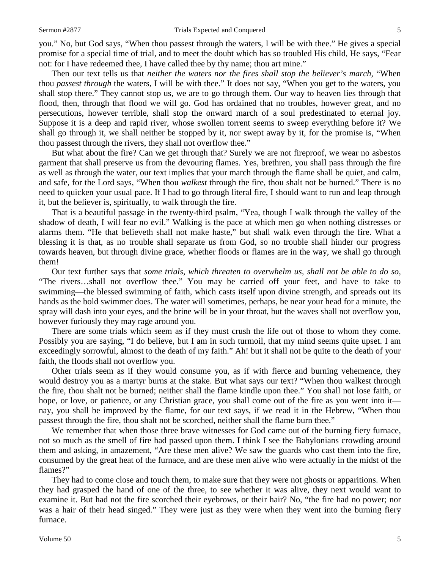you." No, but God says, "When thou passest through the waters, I will be with thee." He gives a special promise for a special time of trial, and to meet the doubt which has so troubled His child, He says, "Fear not: for I have redeemed thee, I have called thee by thy name; thou art mine."

Then our text tells us that *neither the waters nor the fires shall stop the believer's march,* "When thou *passest through* the waters, I will be with thee." It does not say, "When you get to the waters, you shall stop there." They cannot stop us, we are to go through them. Our way to heaven lies through that flood, then, through that flood we will go. God has ordained that no troubles, however great, and no persecutions, however terrible, shall stop the onward march of a soul predestinated to eternal joy. Suppose it is a deep and rapid river, whose swollen torrent seems to sweep everything before it? We shall go through it, we shall neither be stopped by it, nor swept away by it, for the promise is, "When thou passest through the rivers, they shall not overflow thee."

But what about the fire? Can we get through that? Surely we are not fireproof, we wear no asbestos garment that shall preserve us from the devouring flames. Yes, brethren, you shall pass through the fire as well as through the water, our text implies that your march through the flame shall be quiet, and calm, and safe, for the Lord says, "When thou *walkest* through the fire, thou shalt not be burned." There is no need to quicken your usual pace. If I had to go through literal fire, I should want to run and leap through it, but the believer is, spiritually, to walk through the fire.

That is a beautiful passage in the twenty-third psalm, "Yea, though I walk through the valley of the shadow of death, I will fear no evil." Walking is the pace at which men go when nothing distresses or alarms them. "He that believeth shall not make haste," but shall walk even through the fire. What a blessing it is that, as no trouble shall separate us from God, so no trouble shall hinder our progress towards heaven, but through divine grace, whether floods or flames are in the way, we shall go through them!

Our text further says that *some trials, which threaten to overwhelm us, shall not be able to do so,* "The rivers…shall not overflow thee." You may be carried off your feet, and have to take to swimming—the blessed swimming of faith, which casts itself upon divine strength, and spreads out its hands as the bold swimmer does. The water will sometimes, perhaps, be near your head for a minute, the spray will dash into your eyes, and the brine will be in your throat, but the waves shall not overflow you, however furiously they may rage around you.

There are some trials which seem as if they must crush the life out of those to whom they come. Possibly you are saying, "I do believe, but I am in such turmoil, that my mind seems quite upset. I am exceedingly sorrowful, almost to the death of my faith." Ah! but it shall not be quite to the death of your faith, the floods shall not overflow you.

Other trials seem as if they would consume you, as if with fierce and burning vehemence, they would destroy you as a martyr burns at the stake. But what says our text? "When thou walkest through the fire, thou shalt not be burned; neither shall the flame kindle upon thee." You shall not lose faith, or hope, or love, or patience, or any Christian grace, you shall come out of the fire as you went into it nay, you shall be improved by the flame, for our text says, if we read it in the Hebrew, "When thou passest through the fire, thou shalt not be scorched, neither shall the flame burn thee."

We remember that when those three brave witnesses for God came out of the burning fiery furnace, not so much as the smell of fire had passed upon them. I think I see the Babylonians crowding around them and asking, in amazement, "Are these men alive? We saw the guards who cast them into the fire, consumed by the great heat of the furnace, and are these men alive who were actually in the midst of the flames?"

They had to come close and touch them, to make sure that they were not ghosts or apparitions. When they had grasped the hand of one of the three, to see whether it was alive, they next would want to examine it. But had not the fire scorched their eyebrows, or their hair? No, "the fire had no power; nor was a hair of their head singed." They were just as they were when they went into the burning fiery furnace.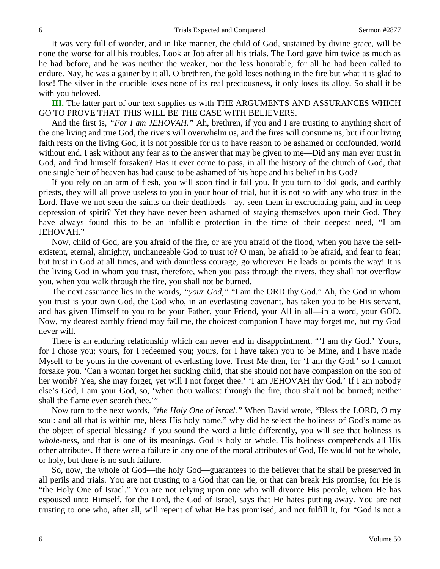It was very full of wonder, and in like manner, the child of God, sustained by divine grace, will be none the worse for all his troubles. Look at Job after all his trials. The Lord gave him twice as much as he had before, and he was neither the weaker, nor the less honorable, for all he had been called to endure. Nay, he was a gainer by it all. O brethren, the gold loses nothing in the fire but what it is glad to lose! The silver in the crucible loses none of its real preciousness, it only loses its alloy. So shall it be with you beloved.

**III.** The latter part of our text supplies us with THE ARGUMENTS AND ASSURANCES WHICH GO TO PROVE THAT THIS WILL BE THE CASE WITH BELIEVERS.

And the first is, *"For I am JEHOVAH."* Ah, brethren, if you and I are trusting to anything short of the one living and true God, the rivers will overwhelm us, and the fires will consume us, but if our living faith rests on the living God, it is not possible for us to have reason to be ashamed or confounded, world without end. I ask without any fear as to the answer that may be given to me—Did any man ever trust in God, and find himself forsaken? Has it ever come to pass, in all the history of the church of God, that one single heir of heaven has had cause to be ashamed of his hope and his belief in his God?

If you rely on an arm of flesh, you will soon find it fail you. If you turn to idol gods, and earthly priests, they will all prove useless to you in your hour of trial, but it is not so with any who trust in the Lord. Have we not seen the saints on their deathbeds—ay, seen them in excruciating pain, and in deep depression of spirit? Yet they have never been ashamed of staying themselves upon their God. They have always found this to be an infallible protection in the time of their deepest need, "I am JEHOVAH."

Now, child of God, are you afraid of the fire, or are you afraid of the flood, when you have the selfexistent, eternal, almighty, unchangeable God to trust to? O man, be afraid to be afraid, and fear to fear; but trust in God at all times, and with dauntless courage, go wherever He leads or points the way! It is the living God in whom you trust, therefore, when you pass through the rivers, they shall not overflow you, when you walk through the fire, you shall not be burned.

The next assurance lies in the words, *"your God,"* "I am the ORD thy God." Ah, the God in whom you trust is your own God, the God who, in an everlasting covenant, has taken you to be His servant, and has given Himself to you to be your Father, your Friend, your All in all—in a word, your GOD. Now, my dearest earthly friend may fail me, the choicest companion I have may forget me, but my God never will.

There is an enduring relationship which can never end in disappointment. "'I am thy God.' Yours, for I chose you; yours, for I redeemed you; yours, for I have taken you to be Mine, and I have made Myself to be yours in the covenant of everlasting love. Trust Me then, for 'I am thy God,' so I cannot forsake you. 'Can a woman forget her sucking child, that she should not have compassion on the son of her womb? Yea, she may forget, yet will I not forget thee.' 'I am JEHOVAH thy God.' If I am nobody else's God, I am your God, so, 'when thou walkest through the fire, thou shalt not be burned; neither shall the flame even scorch thee."

Now turn to the next words, *"the Holy One of Israel."* When David wrote, "Bless the LORD, O my soul: and all that is within me, bless His holy name," why did he select the holiness of God's name as the object of special blessing? If you sound the word a little differently, you will see that holiness is *whole*-ness, and that is one of its meanings. God is holy or whole. His holiness comprehends all His other attributes. If there were a failure in any one of the moral attributes of God, He would not be whole, or holy, but there is no such failure.

So, now, the whole of God—the holy God—guarantees to the believer that he shall be preserved in all perils and trials. You are not trusting to a God that can lie, or that can break His promise, for He is "the Holy One of Israel." You are not relying upon one who will divorce His people, whom He has espoused unto Himself, for the Lord, the God of Israel, says that He hates putting away. You are not trusting to one who, after all, will repent of what He has promised, and not fulfill it, for "God is not a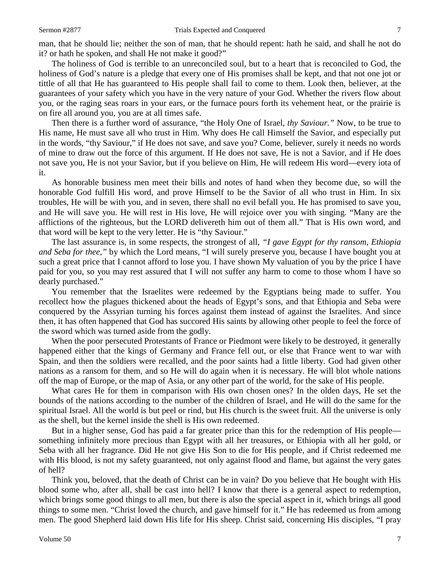man, that he should lie; neither the son of man, that he should repent: hath he said, and shall he not do it? or hath he spoken, and shall He not make it good?"

The holiness of God is terrible to an unreconciled soul, but to a heart that is reconciled to God, the holiness of God's nature is a pledge that every one of His promises shall be kept, and that not one jot or tittle of all that He has guaranteed to His people shall fail to come to them. Look then, believer, at the guarantees of your safety which you have in the very nature of your God. Whether the rivers flow about you, or the raging seas roars in your ears, or the furnace pours forth its vehement heat, or the prairie is on fire all around you, you are at all times safe.

Then there is a further word of assurance, "the Holy One of Israel, *thy Saviour."* Now, to be true to His name, He must save all who trust in Him. Why does He call Himself the Savior, and especially put in the words, "thy Saviour," if He does not save, and save you? Come, believer, surely it needs no words of mine to draw out the force of this argument. If He does not save, He is not a Savior, and if He does not save you, He is not your Savior, but if you believe on Him, He will redeem His word—every iota of it.

As honorable business men meet their bills and notes of hand when they become due, so will the honorable God fulfill His word, and prove Himself to be the Savior of all who trust in Him. In six troubles, He will be with you, and in seven, there shall no evil befall you. He has promised to save you, and He will save you. He will rest in His love, He will rejoice over you with singing. "Many are the afflictions of the righteous, but the LORD delivereth him out of them all." That is His own word, and that word will be kept to the very letter. He is "thy Saviour."

The last assurance is, in some respects, the strongest of all, *"I gave Egypt for thy ransom, Ethiopia and Seba for thee,"* by which the Lord means, "I will surely preserve you, because I have bought you at such a great price that I cannot afford to lose you. I have shown My valuation of you by the price I have paid for you, so you may rest assured that I will not suffer any harm to come to those whom I have so dearly purchased."

You remember that the Israelites were redeemed by the Egyptians being made to suffer. You recollect how the plagues thickened about the heads of Egypt's sons, and that Ethiopia and Seba were conquered by the Assyrian turning his forces against them instead of against the Israelites. And since then, it has often happened that God has succored His saints by allowing other people to feel the force of the sword which was turned aside from the godly.

When the poor persecuted Protestants of France or Piedmont were likely to be destroyed, it generally happened either that the kings of Germany and France fell out, or else that France went to war with Spain, and then the soldiers were recalled, and the poor saints had a little liberty. God had given other nations as a ransom for them, and so He will do again when it is necessary. He will blot whole nations off the map of Europe, or the map of Asia, or any other part of the world, for the sake of His people.

What cares He for them in comparison with His own chosen ones? In the olden days, He set the bounds of the nations according to the number of the children of Israel, and He will do the same for the spiritual Israel. All the world is but peel or rind, but His church is the sweet fruit. All the universe is only as the shell, but the kernel inside the shell is His own redeemed.

But in a higher sense, God has paid a far greater price than this for the redemption of His people something infinitely more precious than Egypt with all her treasures, or Ethiopia with all her gold, or Seba with all her fragrance. Did He not give His Son to die for His people, and if Christ redeemed me with His blood, is not my safety guaranteed, not only against flood and flame, but against the very gates of hell?

Think you, beloved, that the death of Christ can be in vain? Do you believe that He bought with His blood some who, after all, shall be cast into hell? I know that there is a general aspect to redemption, which brings some good things to all men, but there is also the special aspect in it, which brings all good things to some men. "Christ loved the church, and gave himself for it." He has redeemed us from among men. The good Shepherd laid down His life for His sheep. Christ said, concerning His disciples, "I pray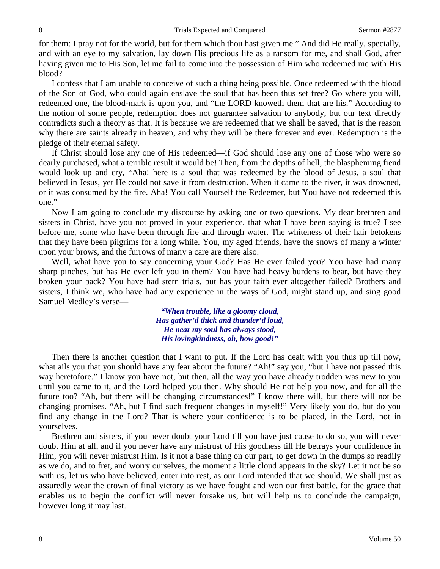for them: I pray not for the world, but for them which thou hast given me." And did He really, specially, and with an eye to my salvation, lay down His precious life as a ransom for me, and shall God, after having given me to His Son, let me fail to come into the possession of Him who redeemed me with His blood?

I confess that I am unable to conceive of such a thing being possible. Once redeemed with the blood of the Son of God, who could again enslave the soul that has been thus set free? Go where you will, redeemed one, the blood-mark is upon you, and "the LORD knoweth them that are his." According to the notion of some people, redemption does not guarantee salvation to anybody, but our text directly contradicts such a theory as that. It is because we are redeemed that we shall be saved, that is the reason why there are saints already in heaven, and why they will be there forever and ever. Redemption is the pledge of their eternal safety.

If Christ should lose any one of His redeemed—if God should lose any one of those who were so dearly purchased, what a terrible result it would be! Then, from the depths of hell, the blaspheming fiend would look up and cry, "Aha! here is a soul that was redeemed by the blood of Jesus, a soul that believed in Jesus, yet He could not save it from destruction. When it came to the river, it was drowned, or it was consumed by the fire. Aha! You call Yourself the Redeemer, but You have not redeemed this one."

Now I am going to conclude my discourse by asking one or two questions. My dear brethren and sisters in Christ, have you not proved in your experience, that what I have been saying is true? I see before me, some who have been through fire and through water. The whiteness of their hair betokens that they have been pilgrims for a long while. You, my aged friends, have the snows of many a winter upon your brows, and the furrows of many a care are there also.

Well, what have you to say concerning your God? Has He ever failed you? You have had many sharp pinches, but has He ever left you in them? You have had heavy burdens to bear, but have they broken your back? You have had stern trials, but has your faith ever altogether failed? Brothers and sisters, I think we, who have had any experience in the ways of God, might stand up, and sing good Samuel Medley's verse—

> *"When trouble, like a gloomy cloud, Has gather'd thick and thunder'd loud, He near my soul has always stood, His lovingkindness, oh, how good!"*

Then there is another question that I want to put. If the Lord has dealt with you thus up till now, what ails you that you should have any fear about the future? "Ah!" say you, "but I have not passed this way heretofore." I know you have not, but then, all the way you have already trodden was new to you until you came to it, and the Lord helped you then. Why should He not help you now, and for all the future too? "Ah, but there will be changing circumstances!" I know there will, but there will not be changing promises. "Ah, but I find such frequent changes in myself!" Very likely you do, but do you find any change in the Lord? That is where your confidence is to be placed, in the Lord, not in yourselves.

Brethren and sisters, if you never doubt your Lord till you have just cause to do so, you will never doubt Him at all, and if you never have any mistrust of His goodness till He betrays your confidence in Him, you will never mistrust Him. Is it not a base thing on our part, to get down in the dumps so readily as we do, and to fret, and worry ourselves, the moment a little cloud appears in the sky? Let it not be so with us, let us who have believed, enter into rest, as our Lord intended that we should. We shall just as assuredly wear the crown of final victory as we have fought and won our first battle, for the grace that enables us to begin the conflict will never forsake us, but will help us to conclude the campaign, however long it may last.